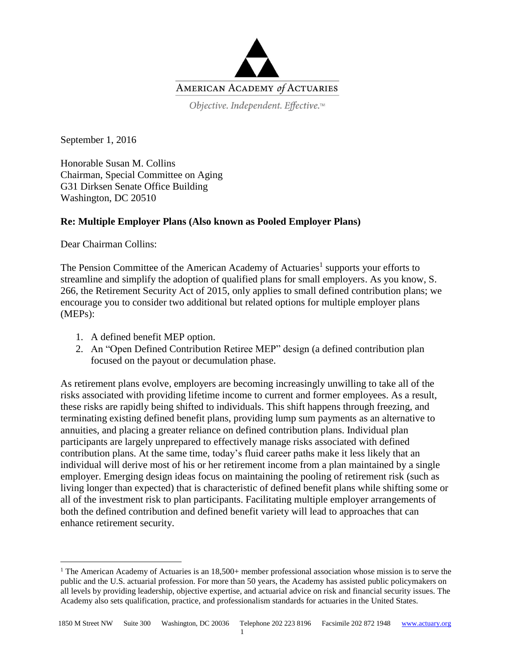

Objective. Independent. Effective.™

September 1, 2016

Honorable Susan M. Collins Chairman, Special Committee on Aging G31 Dirksen Senate Office Building Washington, DC 20510

## **Re: Multiple Employer Plans (Also known as Pooled Employer Plans)**

Dear Chairman Collins:

 $\overline{a}$ 

The Pension Committee of the American Academy of Actuaries<sup>1</sup> supports your efforts to streamline and simplify the adoption of qualified plans for small employers. As you know, S. 266, the Retirement Security Act of 2015, only applies to small defined contribution plans; we encourage you to consider two additional but related options for multiple employer plans (MEPs):

- 1. A defined benefit MEP option.
- 2. An "Open Defined Contribution Retiree MEP" design (a defined contribution plan focused on the payout or decumulation phase.

As retirement plans evolve, employers are becoming increasingly unwilling to take all of the risks associated with providing lifetime income to current and former employees. As a result, these risks are rapidly being shifted to individuals. This shift happens through freezing, and terminating existing defined benefit plans, providing lump sum payments as an alternative to annuities, and placing a greater reliance on defined contribution plans. Individual plan participants are largely unprepared to effectively manage risks associated with defined contribution plans. At the same time, today's fluid career paths make it less likely that an individual will derive most of his or her retirement income from a plan maintained by a single employer. Emerging design ideas focus on maintaining the pooling of retirement risk (such as living longer than expected) that is characteristic of defined benefit plans while shifting some or all of the investment risk to plan participants. Facilitating multiple employer arrangements of both the defined contribution and defined benefit variety will lead to approaches that can enhance retirement security.

<sup>&</sup>lt;sup>1</sup> The American Academy of Actuaries is an  $18,500+$  member professional association whose mission is to serve the public and the U.S. actuarial profession. For more than 50 years, the Academy has assisted public policymakers on all levels by providing leadership, objective expertise, and actuarial advice on risk and financial security issues. The Academy also sets qualification, practice, and professionalism standards for actuaries in the United States.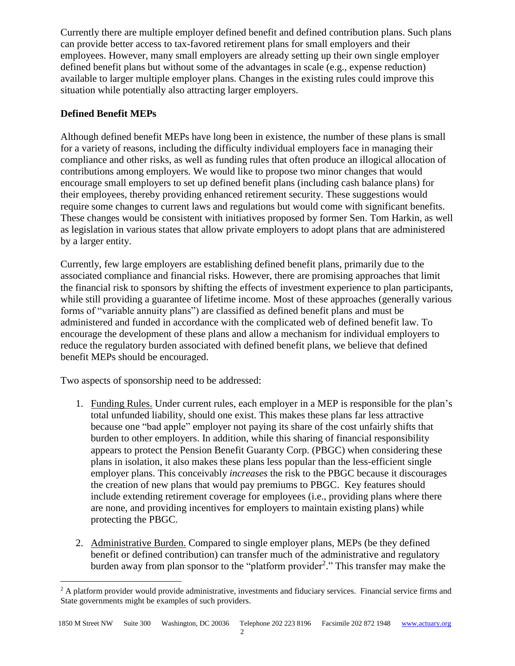Currently there are multiple employer defined benefit and defined contribution plans. Such plans can provide better access to tax-favored retirement plans for small employers and their employees. However, many small employers are already setting up their own single employer defined benefit plans but without some of the advantages in scale (e.g., expense reduction) available to larger multiple employer plans. Changes in the existing rules could improve this situation while potentially also attracting larger employers.

## **Defined Benefit MEPs**

Although defined benefit MEPs have long been in existence, the number of these plans is small for a variety of reasons, including the difficulty individual employers face in managing their compliance and other risks, as well as funding rules that often produce an illogical allocation of contributions among employers. We would like to propose two minor changes that would encourage small employers to set up defined benefit plans (including cash balance plans) for their employees, thereby providing enhanced retirement security. These suggestions would require some changes to current laws and regulations but would come with significant benefits. These changes would be consistent with initiatives proposed by former Sen. Tom Harkin, as well as legislation in various states that allow private employers to adopt plans that are administered by a larger entity.

Currently, few large employers are establishing defined benefit plans, primarily due to the associated compliance and financial risks. However, there are promising approaches that limit the financial risk to sponsors by shifting the effects of investment experience to plan participants, while still providing a guarantee of lifetime income. Most of these approaches (generally various forms of "variable annuity plans") are classified as defined benefit plans and must be administered and funded in accordance with the complicated web of defined benefit law. To encourage the development of these plans and allow a mechanism for individual employers to reduce the regulatory burden associated with defined benefit plans, we believe that defined benefit MEPs should be encouraged.

Two aspects of sponsorship need to be addressed:

 $\overline{a}$ 

- 1. Funding Rules. Under current rules, each employer in a MEP is responsible for the plan's total unfunded liability, should one exist. This makes these plans far less attractive because one "bad apple" employer not paying its share of the cost unfairly shifts that burden to other employers. In addition, while this sharing of financial responsibility appears to protect the Pension Benefit Guaranty Corp. (PBGC) when considering these plans in isolation, it also makes these plans less popular than the less-efficient single employer plans. This conceivably *increases* the risk to the PBGC because it discourages the creation of new plans that would pay premiums to PBGC. Key features should include extending retirement coverage for employees (i.e., providing plans where there are none, and providing incentives for employers to maintain existing plans) while protecting the PBGC.
- 2. Administrative Burden. Compared to single employer plans, MEPs (be they defined benefit or defined contribution) can transfer much of the administrative and regulatory burden away from plan sponsor to the "platform provider<sup>2</sup>." This transfer may make the

 $<sup>2</sup>$  A platform provider would provide administrative, investments and fiduciary services. Financial service firms and</sup> State governments might be examples of such providers.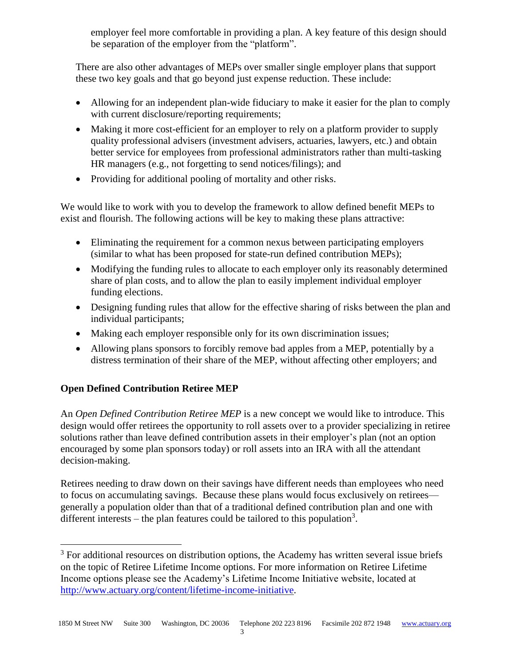employer feel more comfortable in providing a plan. A key feature of this design should be separation of the employer from the "platform".

There are also other advantages of MEPs over smaller single employer plans that support these two key goals and that go beyond just expense reduction. These include:

- Allowing for an independent plan-wide fiduciary to make it easier for the plan to comply with current disclosure/reporting requirements;
- Making it more cost-efficient for an employer to rely on a platform provider to supply quality professional advisers (investment advisers, actuaries, lawyers, etc.) and obtain better service for employees from professional administrators rather than multi-tasking HR managers (e.g., not forgetting to send notices/filings); and
- Providing for additional pooling of mortality and other risks.

We would like to work with you to develop the framework to allow defined benefit MEPs to exist and flourish. The following actions will be key to making these plans attractive:

- Eliminating the requirement for a common nexus between participating employers (similar to what has been proposed for state-run defined contribution MEPs);
- Modifying the funding rules to allocate to each employer only its reasonably determined share of plan costs, and to allow the plan to easily implement individual employer funding elections.
- Designing funding rules that allow for the effective sharing of risks between the plan and individual participants;
- Making each employer responsible only for its own discrimination issues;
- Allowing plans sponsors to forcibly remove bad apples from a MEP, potentially by a distress termination of their share of the MEP, without affecting other employers; and

## **Open Defined Contribution Retiree MEP**

 $\overline{a}$ 

An *Open Defined Contribution Retiree MEP* is a new concept we would like to introduce. This design would offer retirees the opportunity to roll assets over to a provider specializing in retiree solutions rather than leave defined contribution assets in their employer's plan (not an option encouraged by some plan sponsors today) or roll assets into an IRA with all the attendant decision-making.

Retirees needing to draw down on their savings have different needs than employees who need to focus on accumulating savings. Because these plans would focus exclusively on retirees generally a population older than that of a traditional defined contribution plan and one with different interests – the plan features could be tailored to this population<sup>3</sup>.

<sup>&</sup>lt;sup>3</sup> For additional resources on distribution options, the Academy has written several issue briefs on the topic of Retiree Lifetime Income options. For more information on Retiree Lifetime Income options please see the Academy's Lifetime Income Initiative website, located at [http://www.actuary.org/content/lifetime-income-initiative.](http://www.actuary.org/content/lifetime-income-initiative)